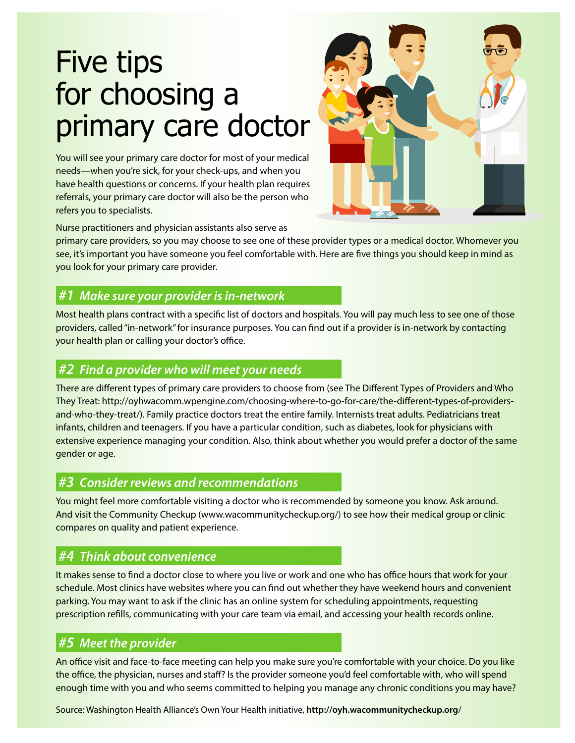# Five tips for choosing a primary care doctor

You will see your primary care doctor for most of your medical needs—when you're sick, for your check-ups, and when you have health questions or concerns. If your health plan requires referrals, your primary care doctor will also be the person who refers you to specialists.



Nurse practitioners and physician assistants also serve as

primary care providers, so you may choose to see one of these provider types or a medical doctor. Whomever you see, it's important you have someone you feel comfortable with. Here are five things you should keep in mind as you look for your primary care provider.

## *#1 Make sure your provider is in-network*

Most health plans contract with a specific list of doctors and hospitals. You will pay much less to see one of those providers, called "in-network" for insurance purposes. You can find out if a provider is in-network by contacting your health plan or calling your doctor's office.

#### *#2 Find a provider who will meet your needs*

There are different types of primary care providers to choose from (see The Different Types of Providers and Who They Treat: http://oyhwacomm.wpengine.com/choosing-where-to-go-for-care/the-different-types-of-providersand-who-they-treat/). Family practice doctors treat the entire family. Internists treat adults. Pediatricians treat infants, children and teenagers. If you have a particular condition, such as diabetes, look for physicians with extensive experience managing your condition. Also, think about whether you would prefer a doctor of the same gender or age.

### *#3 Consider reviews and recommendations*

You might feel more comfortable visiting a doctor who is recommended by someone you know. Ask around. And visit the Community Checkup (www.wacommunitycheckup.org/) to see how their medical group or clinic compares on quality and patient experience.

# *#4 Think about convenience*

It makes sense to find a doctor close to where you live or work and one who has office hours that work for your schedule. Most clinics have websites where you can find out whether they have weekend hours and convenient parking. You may want to ask if the clinic has an online system for scheduling appointments, requesting prescription refills, communicating with your care team via email, and accessing your health records online.

# *#5 Meet the provider*

An office visit and face-to-face meeting can help you make sure you're comfortable with your choice. Do you like the office, the physician, nurses and staff? Is the provider someone you'd feel comfortable with, who will spend enough time with you and who seems committed to helping you manage any chronic conditions you may have?

Source: Washington Health Alliance's Own Your Health initiative, **http://oyh.wacommunitycheckup.org**/